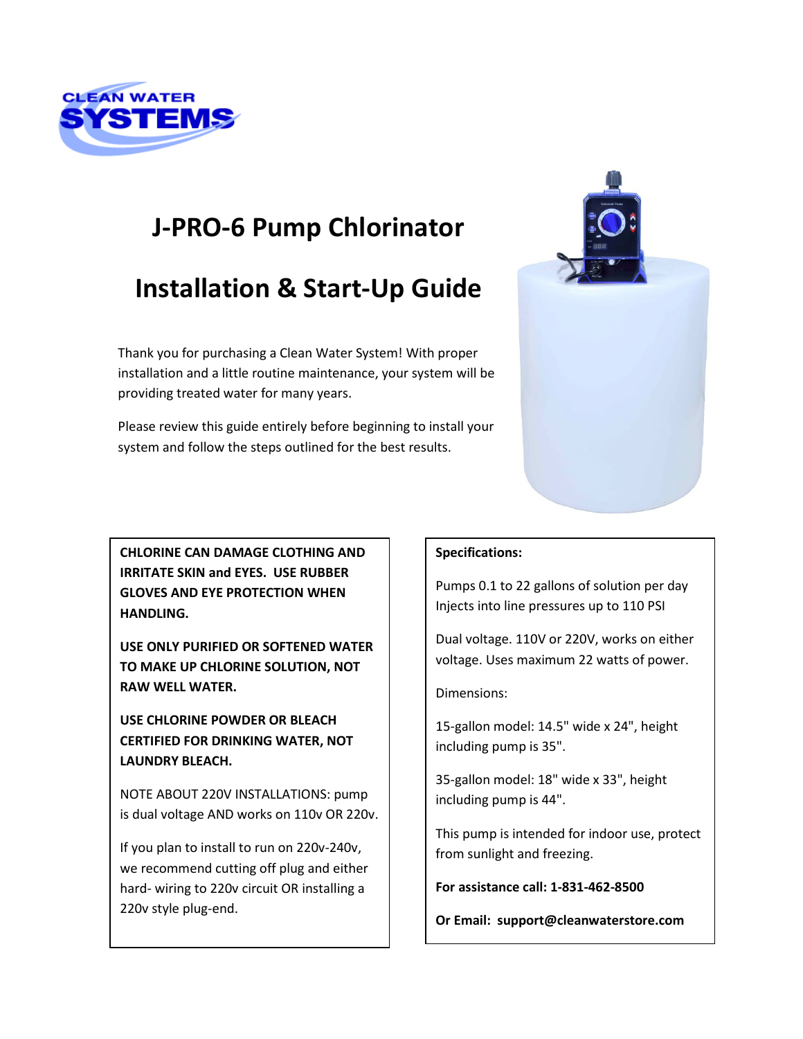

# **J-PRO-6 Pump Chlorinator**

# **Installation & Start-Up Guide**

Thank you for purchasing a Clean Water System! With proper installation and a little routine maintenance, your system will be providing treated water for many years.

Please review this guide entirely before beginning to install your system and follow the steps outlined for the best results.



**CHLORINE CAN DAMAGE CLOTHING AND IRRITATE SKIN and EYES. USE RUBBER GLOVES AND EYE PROTECTION WHEN HANDLING.**

**USE ONLY PURIFIED OR SOFTENED WATER TO MAKE UP CHLORINE SOLUTION, NOT RAW WELL WATER.** 

**USE CHLORINE POWDER OR BLEACH CERTIFIED FOR DRINKING WATER, NOT LAUNDRY BLEACH.**

NOTE ABOUT 220V INSTALLATIONS: pump is dual voltage AND works on 110v OR 220v.

If you plan to install to run on 220v-240v, we recommend cutting off plug and either hard- wiring to 220v circuit OR installing a 220v style plug-end.

#### **Specifications:**

Pumps 0.1 to 22 gallons of solution per day Injects into line pressures up to 110 PSI

Dual voltage. 110V or 220V, works on either voltage. Uses maximum 22 watts of power.

Dimensions:

15-gallon model: 14.5" wide x 24", height including pump is 35".

35-gallon model: 18" wide x 33", height including pump is 44".

This pump is intended for indoor use, protect from sunlight and freezing.

**For assistance call: 1-831-462-8500**

**Or Email: support@cleanwaterstore.com**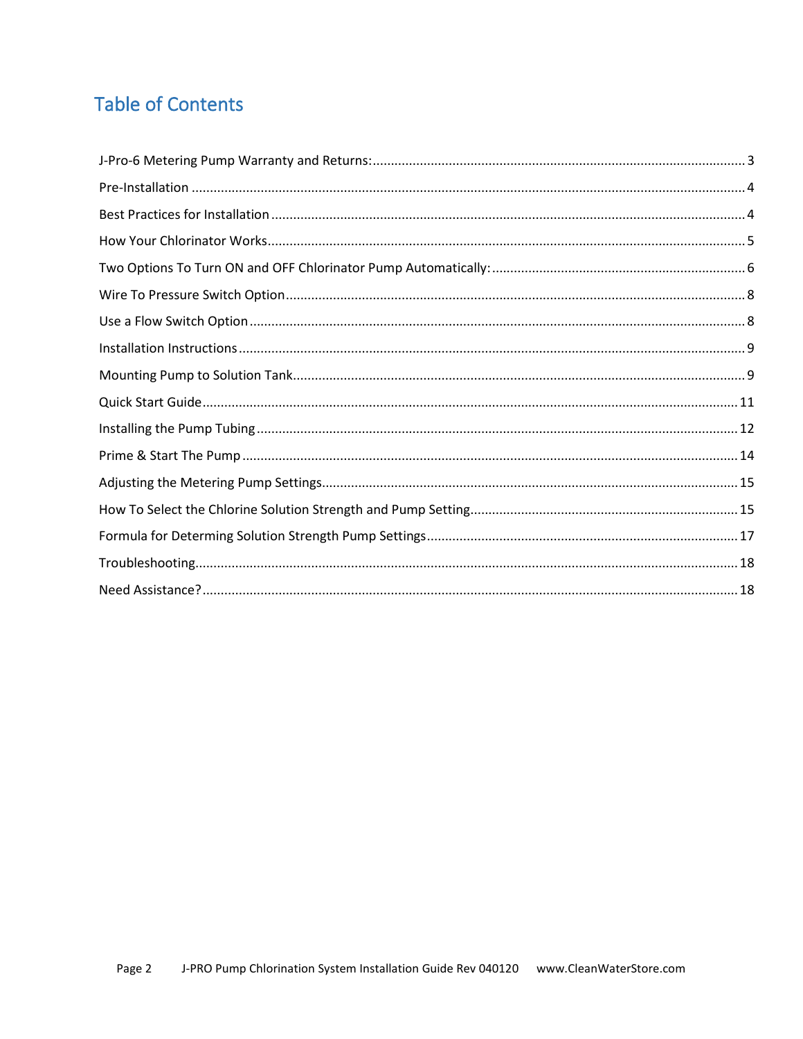## **Table of Contents**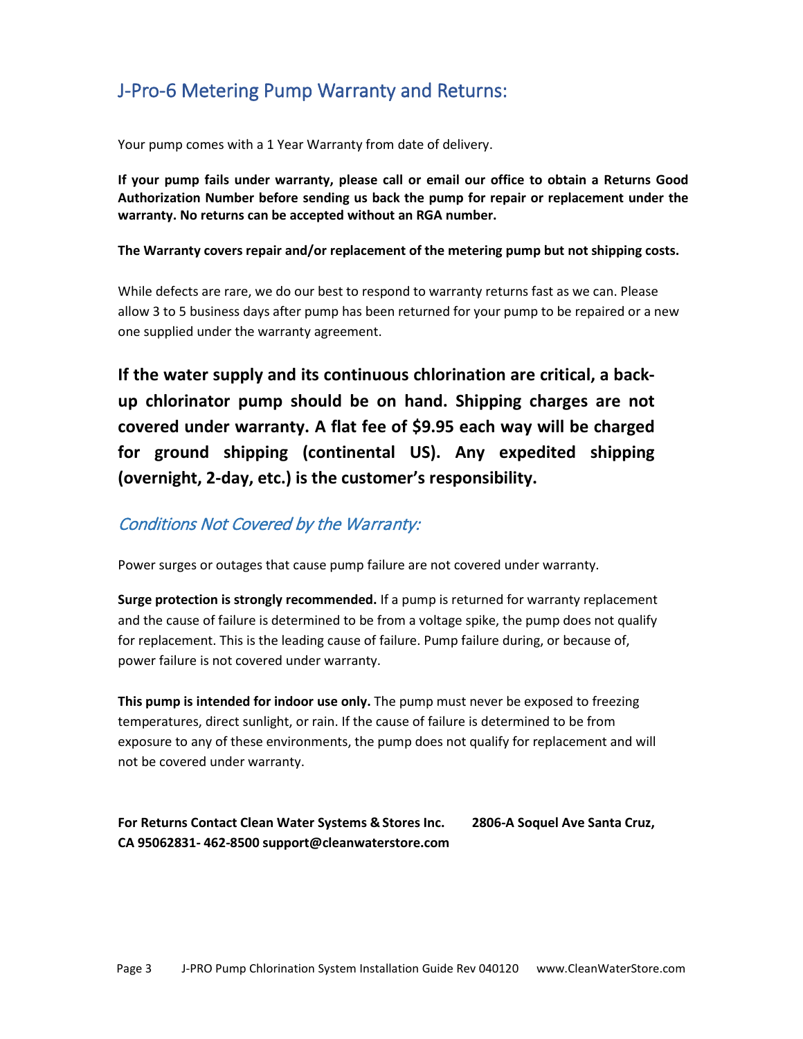### <span id="page-2-0"></span>J-Pro-6 Metering Pump Warranty and Returns:

Your pump comes with a 1 Year Warranty from date of delivery.

**If your pump fails under warranty, please call or email our office to obtain a Returns Good Authorization Number before sending us back the pump for repair or replacement under the warranty. No returns can be accepted without an RGA number.**

#### **The Warranty covers repair and/or replacement of the metering pump but not shipping costs.**

While defects are rare, we do our best to respond to warranty returns fast as we can. Please allow 3 to 5 business days after pump has been returned for your pump to be repaired or a new one supplied under the warranty agreement.

**If the water supply and its continuous chlorination are critical, a backup chlorinator pump should be on hand. Shipping charges are not covered under warranty. A flat fee of \$9.95 each way will be charged for ground shipping (continental US). Any expedited shipping (overnight, 2-day, etc.) is the customer's responsibility.**

#### Conditions Not Covered by the Warranty:

Power surges or outages that cause pump failure are not covered under warranty.

**Surge protection is strongly recommended.** If a pump is returned for warranty replacement and the cause of failure is determined to be from a voltage spike, the pump does not qualify for replacement. This is the leading cause of failure. Pump failure during, or because of, power failure is not covered under warranty.

**This pump is intended for indoor use only.** The pump must never be exposed to freezing temperatures, direct sunlight, or rain. If the cause of failure is determined to be from exposure to any of these environments, the pump does not qualify for replacement and will not be covered under warranty.

#### **For Returns Contact Clean Water Systems & Stores Inc. 2806-A Soquel Ave Santa Cruz, CA 95062831- 462-8500 [support@cleanwaterstore.com](mailto:support@cleanwaterstore.com)**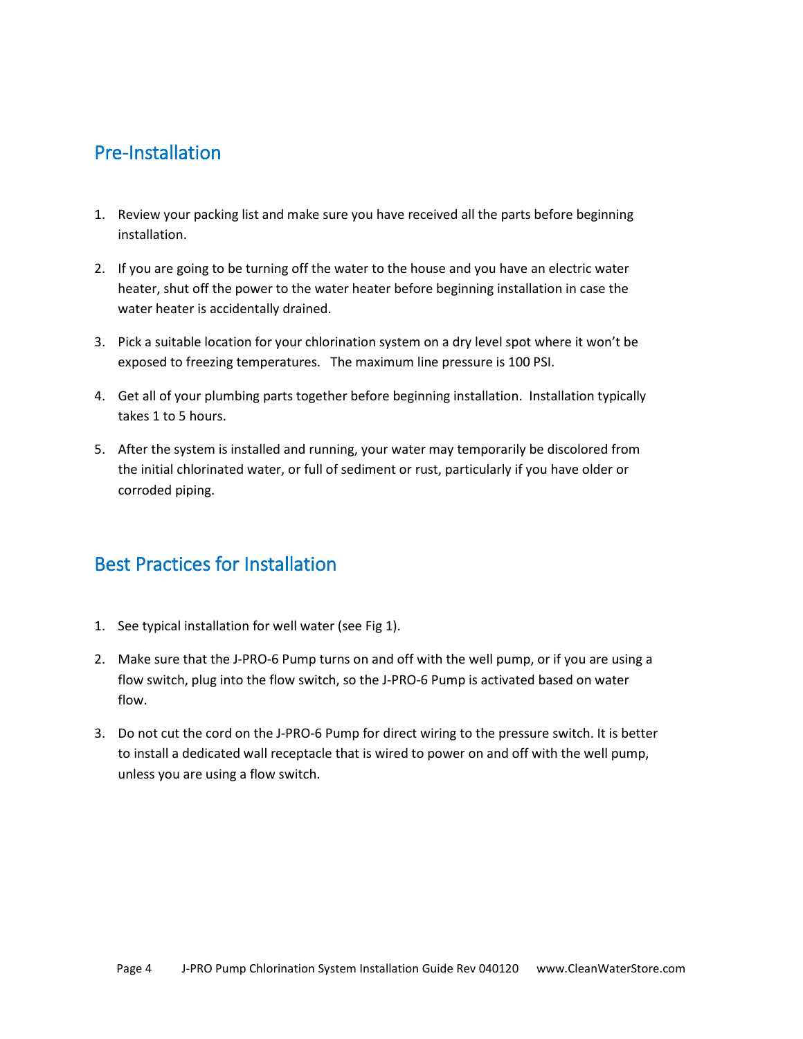#### <span id="page-3-0"></span>Pre-Installation

- 1. Review your packing list and make sure you have received all the parts before beginning installation.
- 2. If you are going to be turning off the water to the house and you have an electric water heater, shut off the power to the water heater before beginning installation in case the water heater is accidentally drained.
- 3. Pick a suitable location for your chlorination system on a dry level spot where it won't be exposed to freezing temperatures. The maximum line pressure is 100 PSI.
- 4. Get all of your plumbing parts together before beginning installation. Installation typically takes 1 to 5 hours.
- 5. After the system is installed and running, your water may temporarily be discolored from the initial chlorinated water, or full of sediment or rust, particularly if you have older or corroded piping.

### <span id="page-3-1"></span>Best Practices for Installation

- 1. See typical installation for well water (see Fig 1).
- 2. Make sure that the J-PRO-6 Pump turns on and off with the well pump, or if you are using a flow switch, plug into the flow switch, so the J-PRO-6 Pump is activated based on water flow.
- 3. Do not cut the cord on the J-PRO-6 Pump for direct wiring to the pressure switch. It is better to install a dedicated wall receptacle that is wired to power on and off with the well pump, unless you are using a flow switch.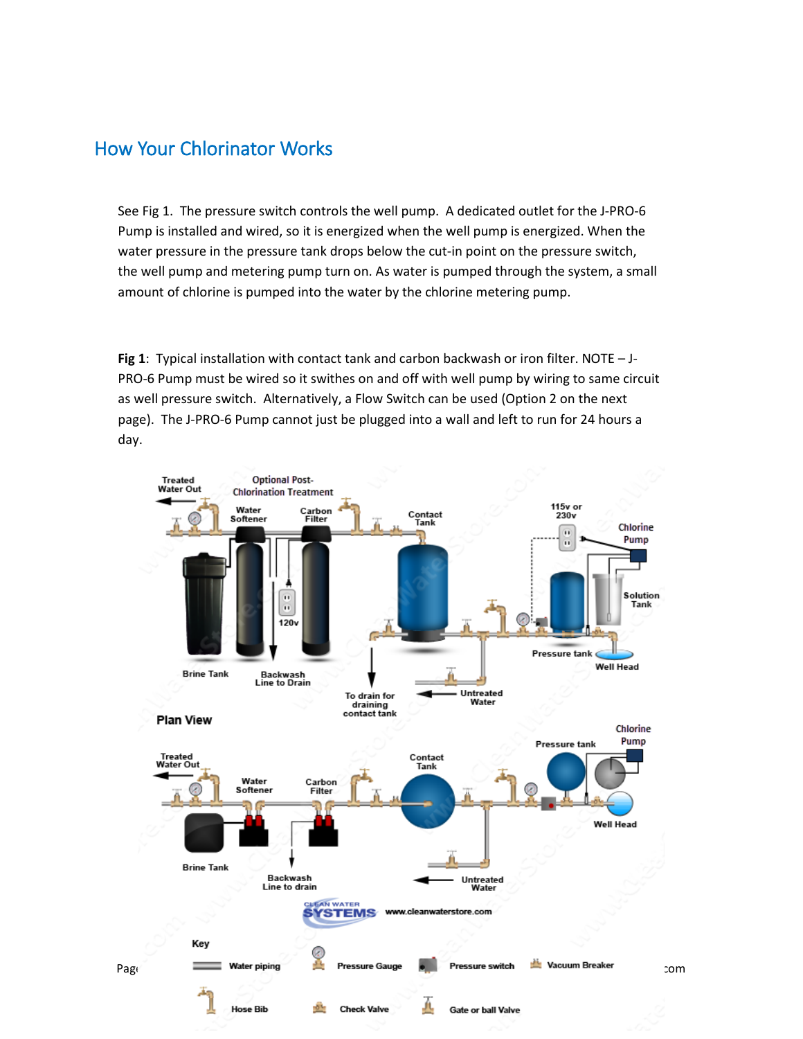#### <span id="page-4-0"></span>How Your Chlorinator Works

See Fig 1. The pressure switch controls the well pump. A dedicated outlet for the J-PRO-6 Pump is installed and wired, so it is energized when the well pump is energized. When the water pressure in the pressure tank drops below the cut-in point on the pressure switch, the well pump and metering pump turn on. As water is pumped through the system, a small amount of chlorine is pumped into the water by the chlorine metering pump.

**Fig 1**: Typical installation with contact tank and carbon backwash or iron filter. NOTE – J-PRO-6 Pump must be wired so it swithes on and off with well pump by wiring to same circuit as well pressure switch. Alternatively, a Flow Switch can be used (Option 2 on the next page). The J-PRO-6 Pump cannot just be plugged into a wall and left to run for 24 hours a day.

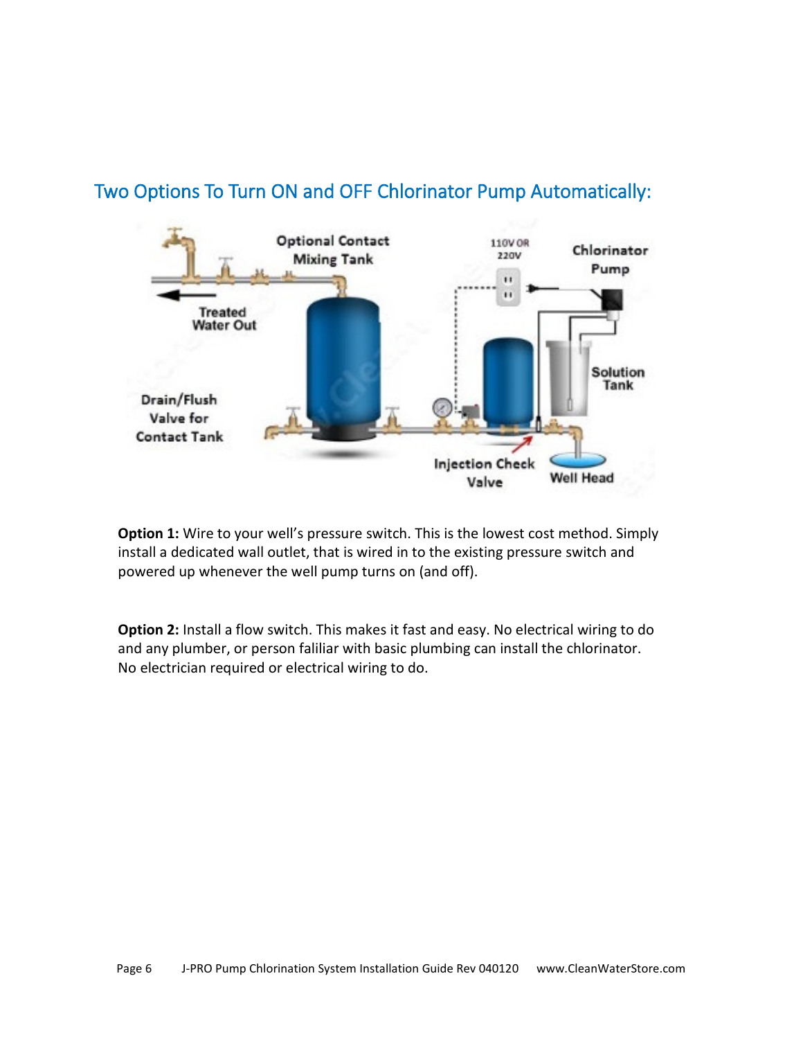

#### <span id="page-5-0"></span>Two Options To Turn ON and OFF Chlorinator Pump Automatically:

**Option 1:** Wire to your well's pressure switch. This is the lowest cost method. Simply install a dedicated wall outlet, that is wired in to the existing pressure switch and powered up whenever the well pump turns on (and off).

**Option 2:** Install a flow switch. This makes it fast and easy. No electrical wiring to do and any plumber, or person faliliar with basic plumbing can install the chlorinator. No electrician required or electrical wiring to do.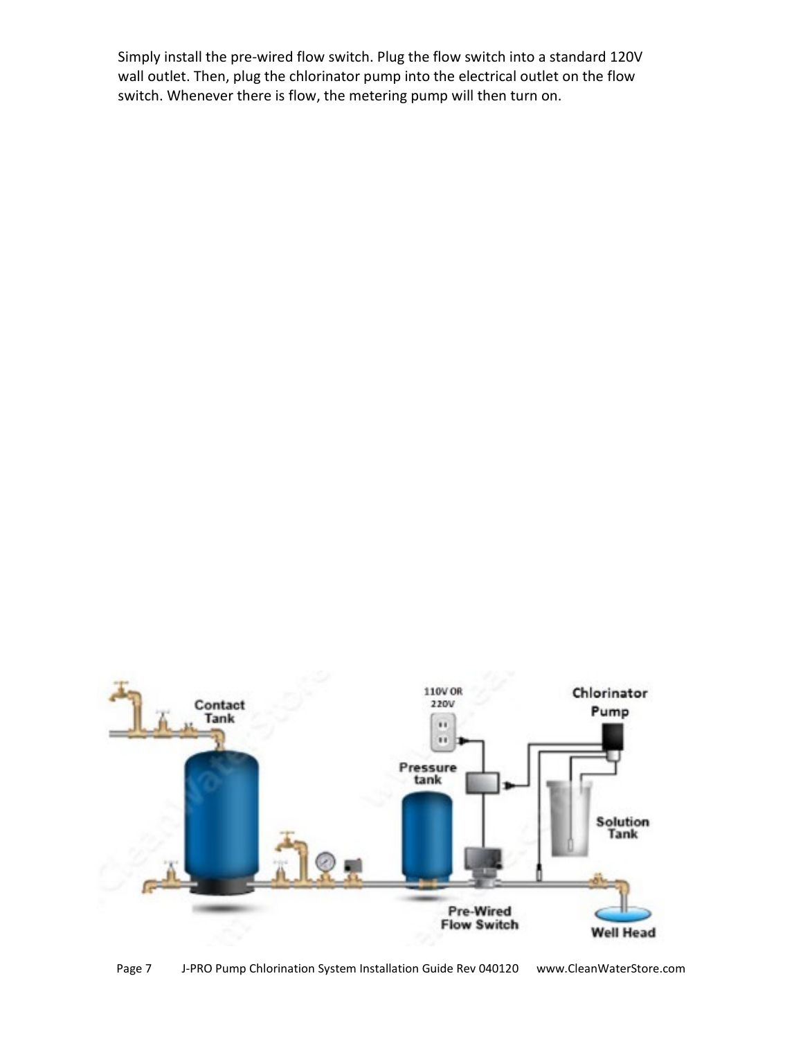Simply install the pre-wired flow switch. Plug the flow switch into a standard 120V wall outlet. Then, plug the chlorinator pump into the electrical outlet on the flow switch. Whenever there is flow, the metering pump will then turn on.



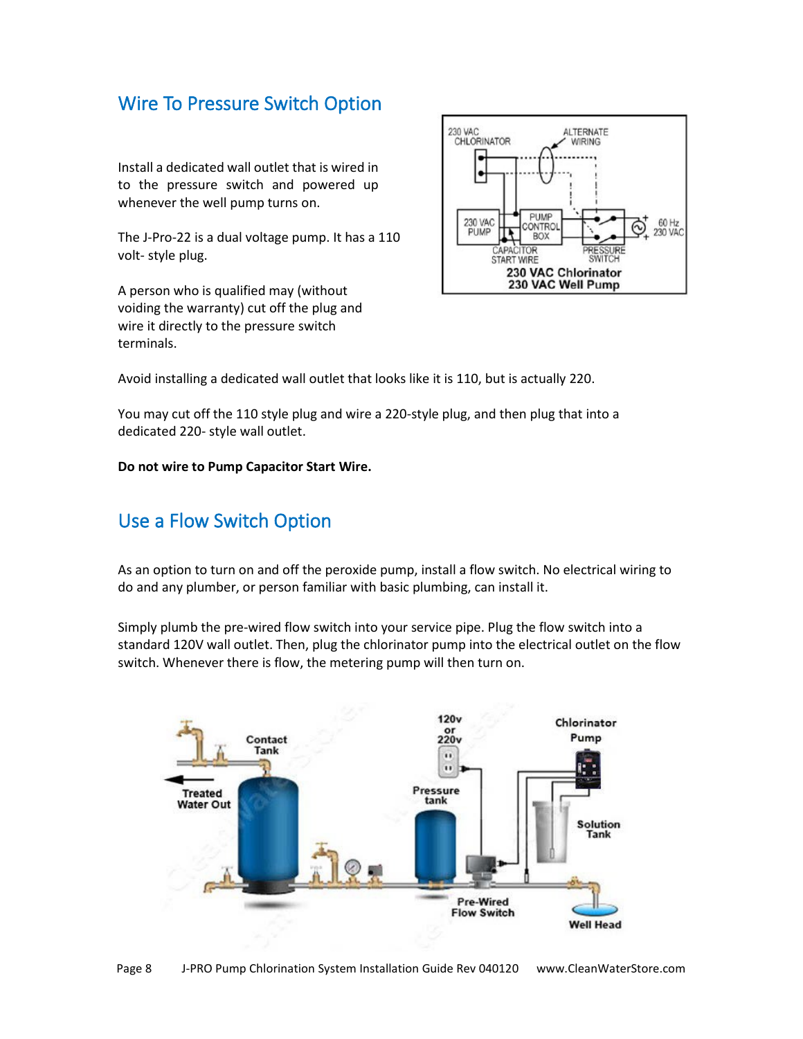#### <span id="page-7-0"></span>Wire To Pressure Switch Option

Install a dedicated wall outlet that is wired in to the pressure switch and powered up whenever the well pump turns on.

The J-Pro-22 is a dual voltage pump. It has a 110 volt- style plug.

A person who is qualified may (without voiding the warranty) cut off the plug and wire it directly to the pressure switch terminals.



Avoid installing a dedicated wall outlet that looks like it is 110, but is actually 220.

You may cut off the 110 style plug and wire a 220-style plug, and then plug that into a dedicated 220- style wall outlet.

**Do not wire to Pump Capacitor Start Wire.**

#### <span id="page-7-1"></span>Use a Flow Switch Option

As an option to turn on and off the peroxide pump, install a flow switch. No electrical wiring to do and any plumber, or person familiar with basic plumbing, can install it.

Simply plumb the pre-wired flow switch into your service pipe. Plug the flow switch into a standard 120V wall outlet. Then, plug the chlorinator pump into the electrical outlet on the flow switch. Whenever there is flow, the metering pump will then turn on.

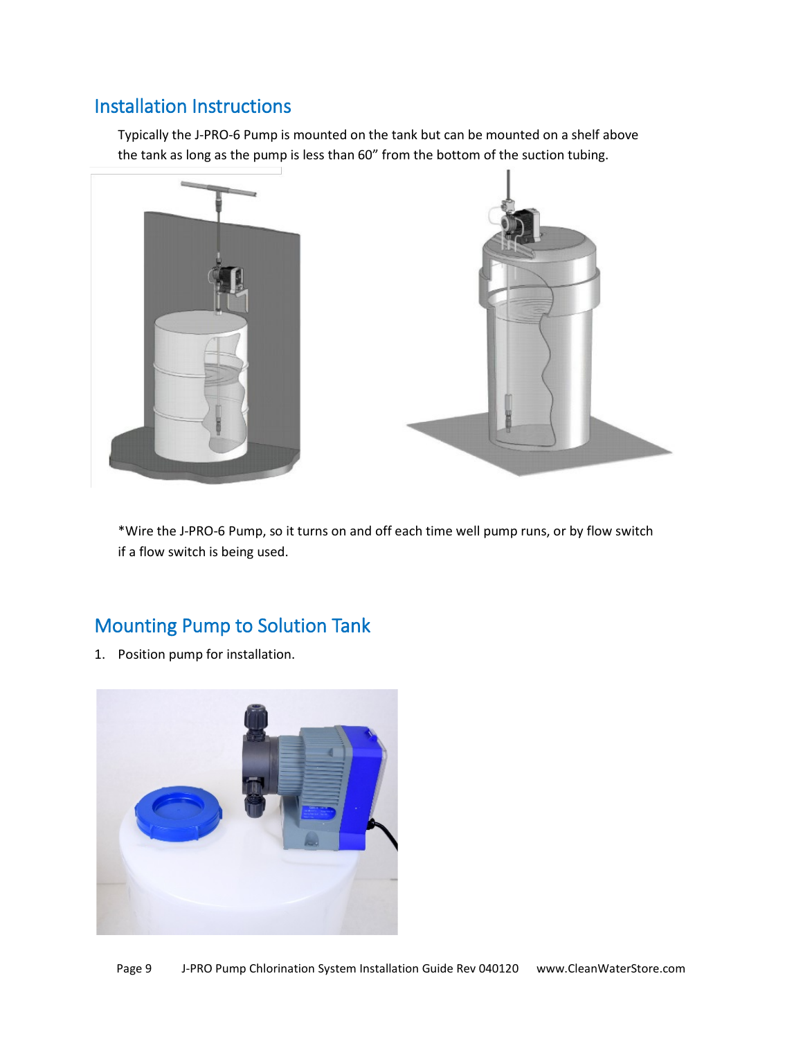### <span id="page-8-0"></span>Installation Instructions

Typically the J-PRO-6 Pump is mounted on the tank but can be mounted on a shelf above the tank as long as the pump is less than 60" from the bottom of the suction tubing.



\*Wire the J-PRO-6 Pump, so it turns on and off each time well pump runs, or by flow switch if a flow switch is being used.

## <span id="page-8-1"></span>Mounting Pump to Solution Tank

1. Position pump for installation.

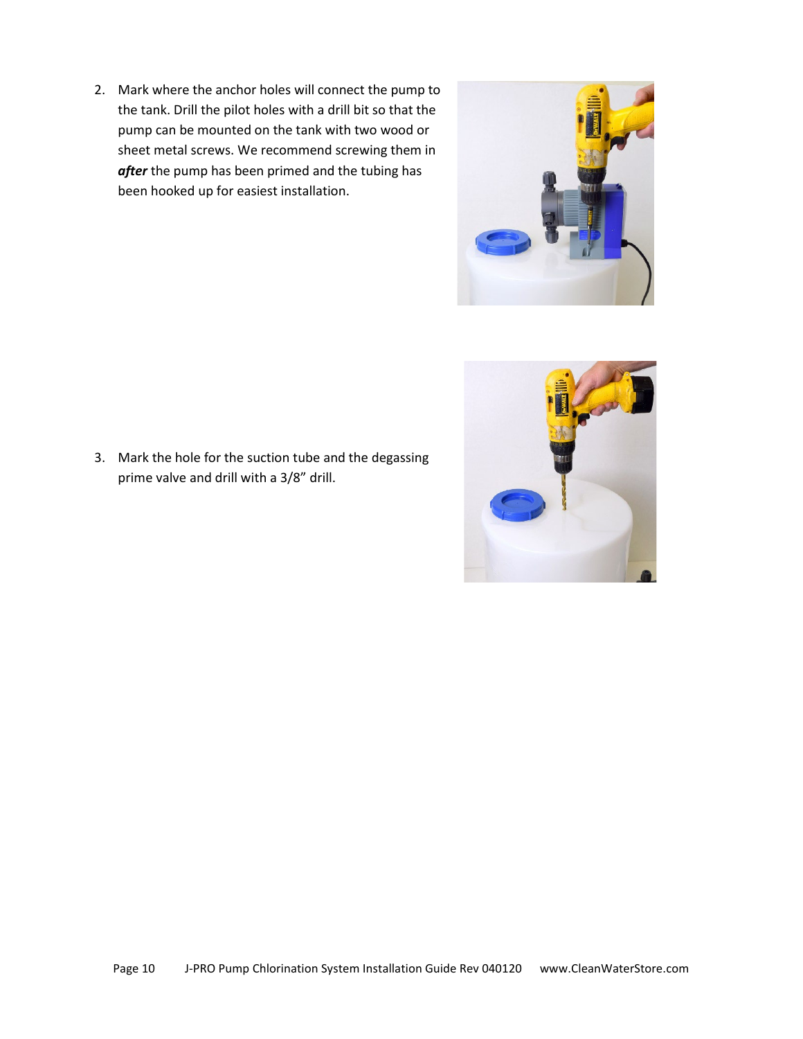2. Mark where the anchor holes will connect the pump to the tank. Drill the pilot holes with a drill bit so that the pump can be mounted on the tank with two wood or sheet metal screws. We recommend screwing them in *after* the pump has been primed and the tubing has been hooked up for easiest installation.



3. Mark the hole for the suction tube and the degassing prime valve and drill with a 3/8" drill.

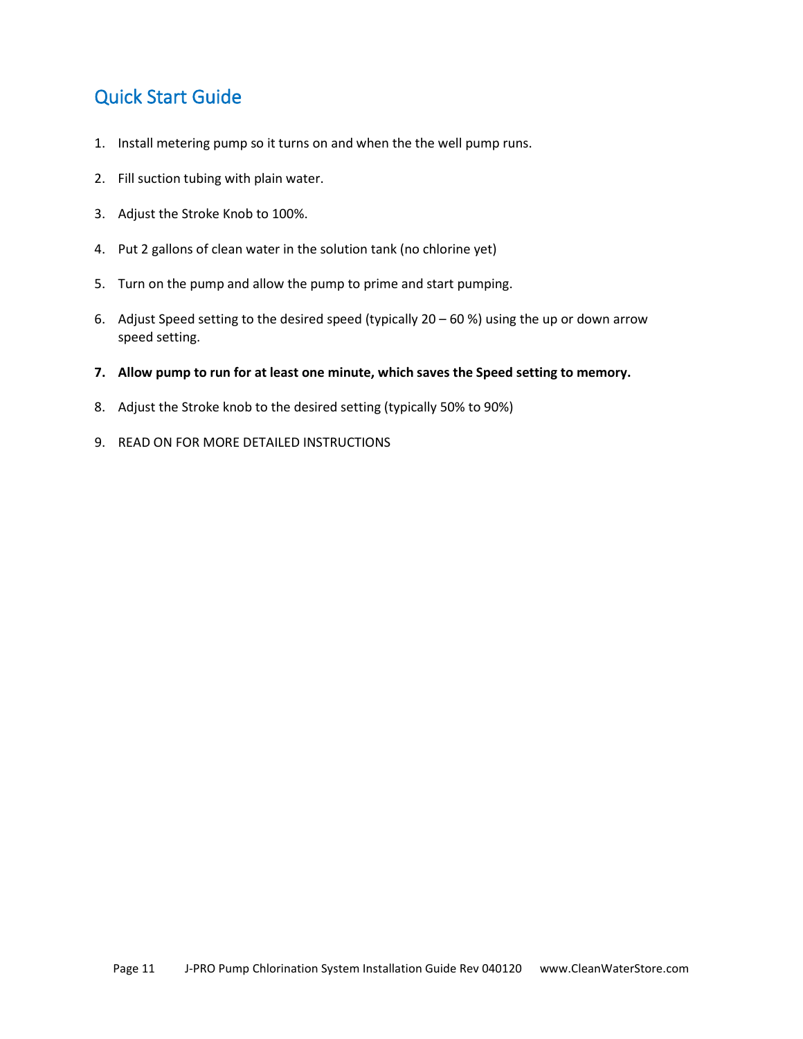### <span id="page-10-0"></span>Quick Start Guide

- 1. Install metering pump so it turns on and when the the well pump runs.
- 2. Fill suction tubing with plain water.
- 3. Adjust the Stroke Knob to 100%.
- 4. Put 2 gallons of clean water in the solution tank (no chlorine yet)
- 5. Turn on the pump and allow the pump to prime and start pumping.
- 6. Adjust Speed setting to the desired speed (typically  $20 60$ %) using the up or down arrow speed setting.
- **7. Allow pump to run for at least one minute, which saves the Speed setting to memory.**
- 8. Adjust the Stroke knob to the desired setting (typically 50% to 90%)
- 9. READ ON FOR MORE DETAILED INSTRUCTIONS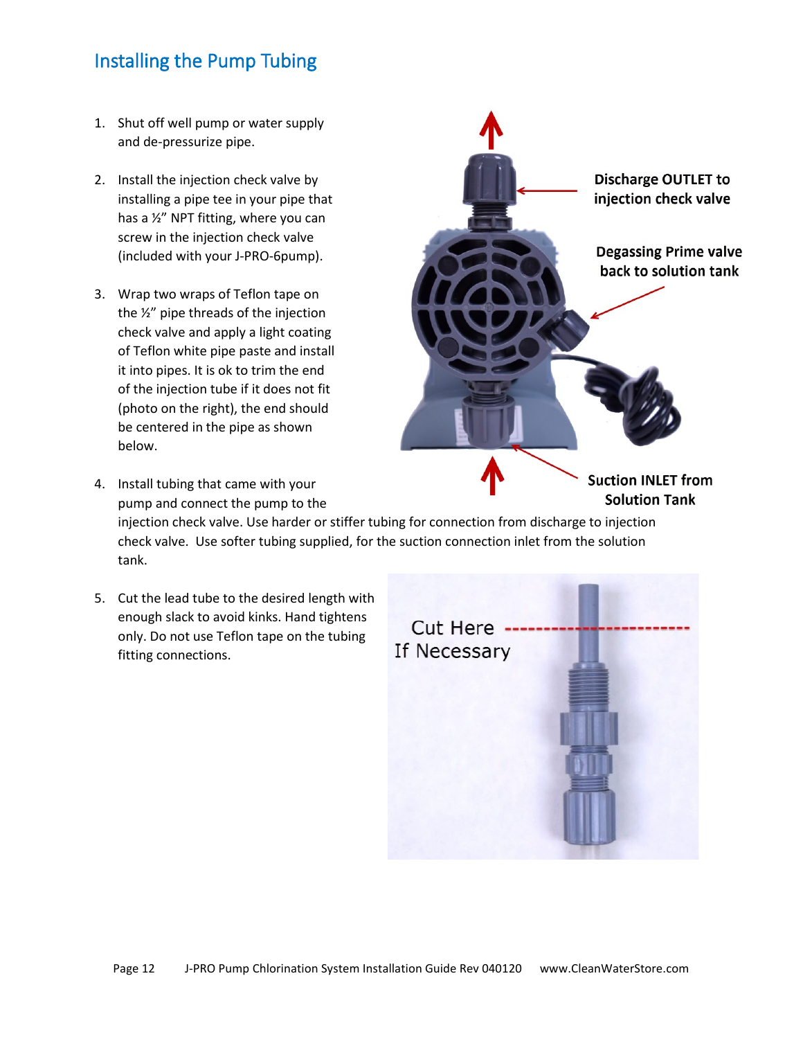### <span id="page-11-0"></span>Installing the Pump Tubing

- 1. Shut off well pump or water supply and de-pressurize pipe.
- 2. Install the injection check valve by installing a pipe tee in your pipe that has a ½" NPT fitting, where you can screw in the injection check valve (included with your J-PRO-6pump).
- 3. Wrap two wraps of Teflon tape on the ½" pipe threads of the injection check valve and apply a light coating of Teflon white pipe paste and install it into pipes. It is ok to trim the end of the injection tube if it does not fit (photo on the right), the end should be centered in the pipe as shown below.
- **Suction INLET from** 4. Install tubing that came with your **Solution Tank** pump and connect the pump to the injection check valve. Use harder or stiffer tubing for connection from discharge to injection check valve. Use softer tubing supplied, for the suction connection inlet from the solution tank.
- 5. Cut the lead tube to the desired length with enough slack to avoid kinks. Hand tightens only. Do not use Teflon tape on the tubing fitting connections.



Discharge OUTLET to injection check valve

**Degassing Prime valve** back to solution tank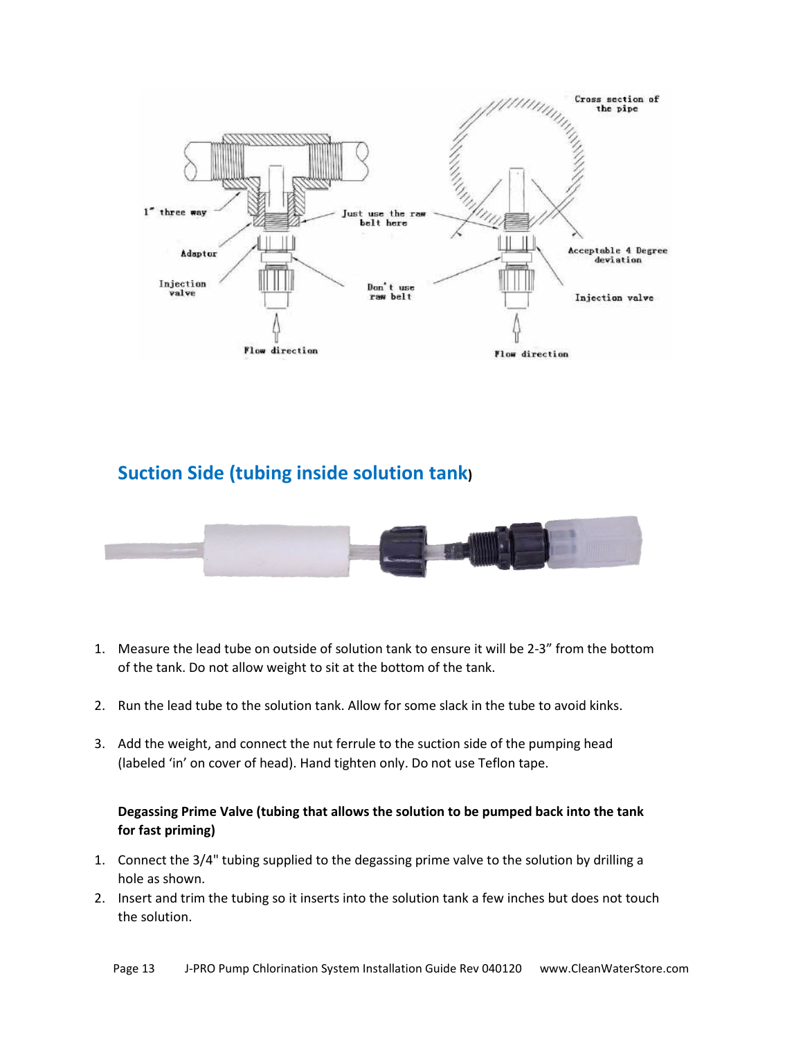

#### **Suction Side (tubing inside solution tank)**



- 1. Measure the lead tube on outside of solution tank to ensure it will be 2-3" from the bottom of the tank. Do not allow weight to sit at the bottom of the tank.
- 2. Run the lead tube to the solution tank. Allow for some slack in the tube to avoid kinks.
- 3. Add the weight, and connect the nut ferrule to the suction side of the pumping head (labeled 'in' on cover of head). Hand tighten only. Do not use Teflon tape.

#### **Degassing Prime Valve (tubing that allows the solution to be pumped back into the tank for fast priming)**

- 1. Connect the 3/4" tubing supplied to the degassing prime valve to the solution by drilling a hole as shown.
- 2. Insert and trim the tubing so it inserts into the solution tank a few inches but does not touch the solution.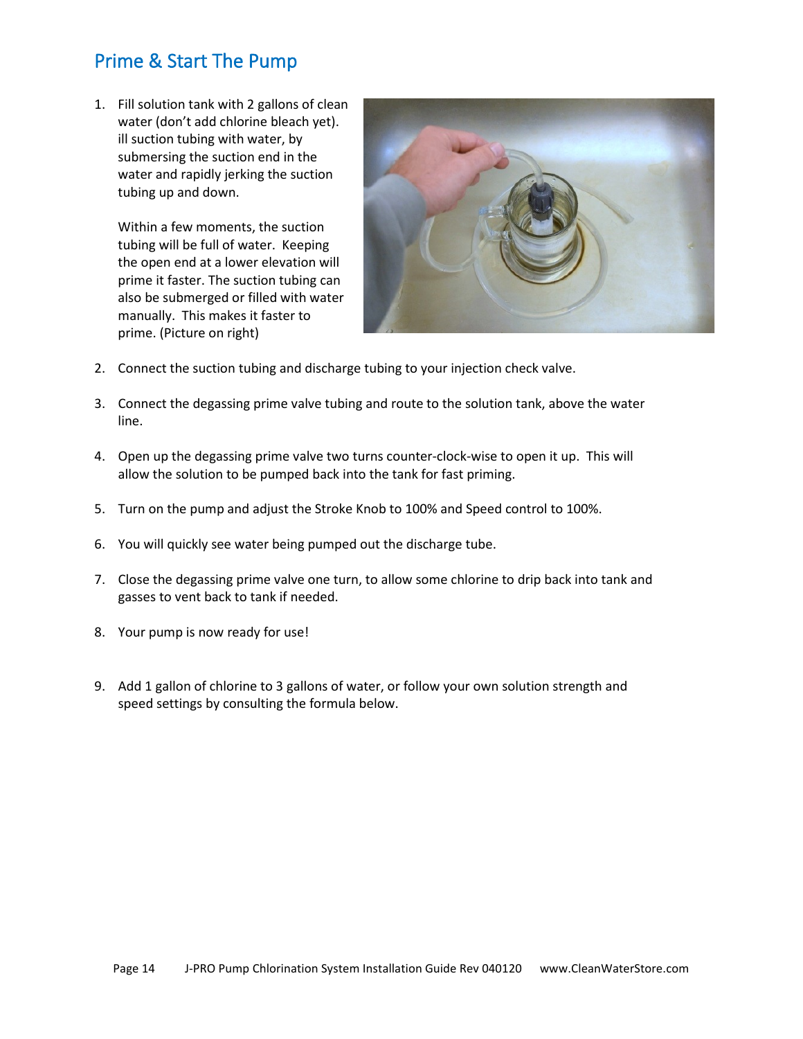### <span id="page-13-0"></span>Prime & Start The Pump

1. Fill solution tank with 2 gallons of clean water (don't add chlorine bleach yet). ill suction tubing with water, by submersing the suction end in the water and rapidly jerking the suction tubing up and down.

Within a few moments, the suction tubing will be full of water. Keeping the open end at a lower elevation will prime it faster. The suction tubing can also be submerged or filled with water manually. This makes it faster to prime. (Picture on right)



- 2. Connect the suction tubing and discharge tubing to your injection check valve.
- 3. Connect the degassing prime valve tubing and route to the solution tank, above the water line.
- 4. Open up the degassing prime valve two turns counter-clock-wise to open it up. This will allow the solution to be pumped back into the tank for fast priming.
- 5. Turn on the pump and adjust the Stroke Knob to 100% and Speed control to 100%.
- 6. You will quickly see water being pumped out the discharge tube.
- 7. Close the degassing prime valve one turn, to allow some chlorine to drip back into tank and gasses to vent back to tank if needed.
- 8. Your pump is now ready for use!
- 9. Add 1 gallon of chlorine to 3 gallons of water, or follow your own solution strength and speed settings by consulting the formula below.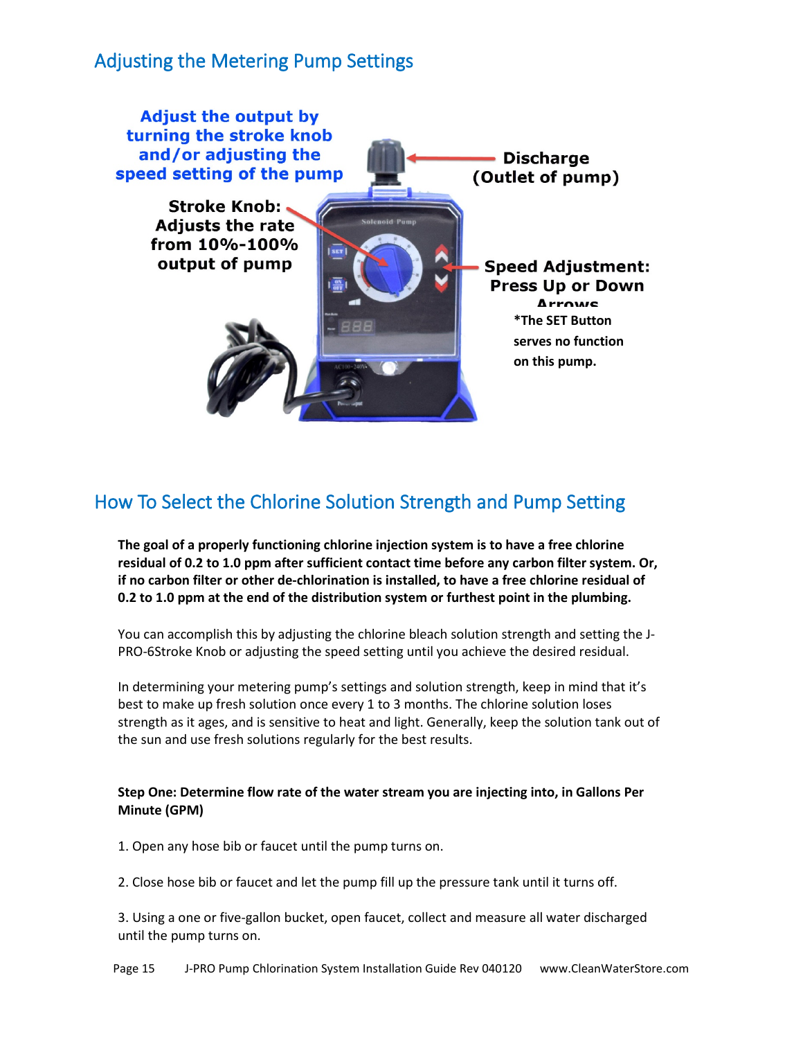### <span id="page-14-0"></span>Adjusting the Metering Pump Settings



### <span id="page-14-1"></span>How To Select the Chlorine Solution Strength and Pump Setting

**The goal of a properly functioning chlorine injection system is to have a free chlorine residual of 0.2 to 1.0 ppm after sufficient contact time before any carbon filter system. Or, if no carbon filter or other de-chlorination is installed, to have a free chlorine residual of 0.2 to 1.0 ppm at the end of the distribution system or furthest point in the plumbing.**

You can accomplish this by adjusting the chlorine bleach solution strength and setting the J-PRO-6Stroke Knob or adjusting the speed setting until you achieve the desired residual.

In determining your metering pump's settings and solution strength, keep in mind that it's best to make up fresh solution once every 1 to 3 months. The chlorine solution loses strength as it ages, and is sensitive to heat and light. Generally, keep the solution tank out of the sun and use fresh solutions regularly for the best results.

#### **Step One: Determine flow rate of the water stream you are injecting into, in Gallons Per Minute (GPM)**

1. Open any hose bib or faucet until the pump turns on.

2. Close hose bib or faucet and let the pump fill up the pressure tank until it turns off.

3. Using a one or five-gallon bucket, open faucet, collect and measure all water discharged until the pump turns on.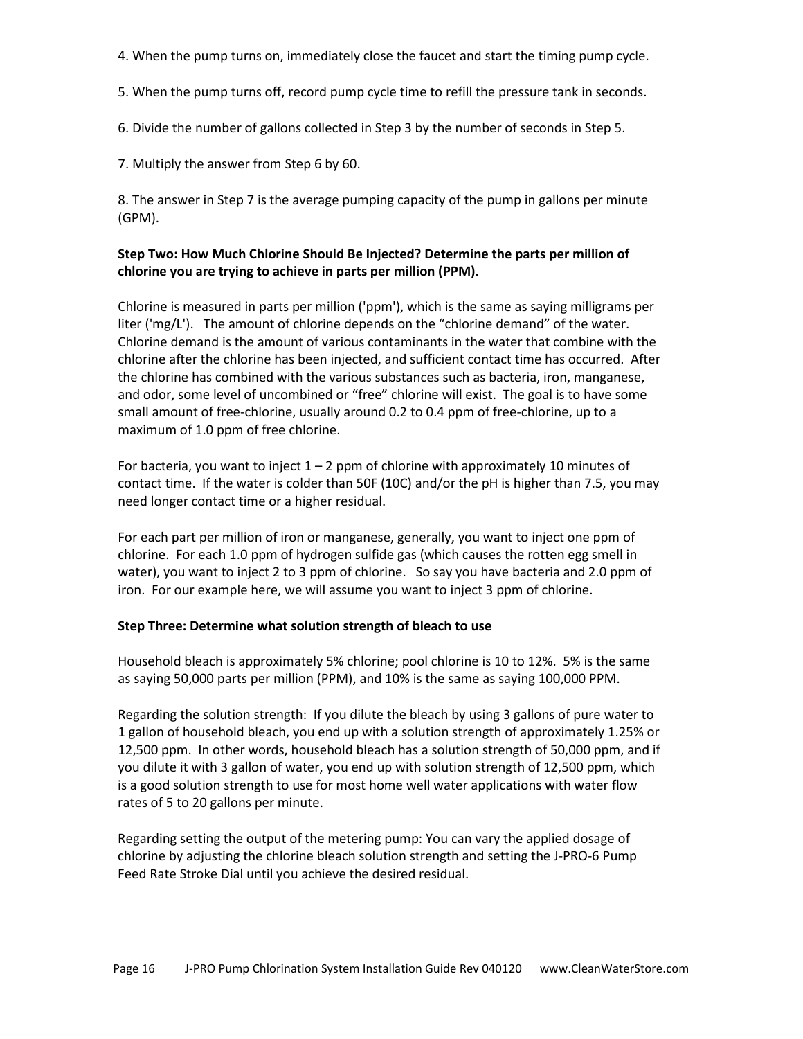- 4. When the pump turns on, immediately close the faucet and start the timing pump cycle.
- 5. When the pump turns off, record pump cycle time to refill the pressure tank in seconds.
- 6. Divide the number of gallons collected in Step 3 by the number of seconds in Step 5.

7. Multiply the answer from Step 6 by 60.

8. The answer in Step 7 is the average pumping capacity of the pump in gallons per minute (GPM).

#### **Step Two: How Much Chlorine Should Be Injected? Determine the parts per million of chlorine you are trying to achieve in parts per million (PPM).**

Chlorine is measured in parts per million ('ppm'), which is the same as saying milligrams per liter ('mg/L'). The amount of chlorine depends on the "chlorine demand" of the water. Chlorine demand is the amount of various contaminants in the water that combine with the chlorine after the chlorine has been injected, and sufficient contact time has occurred. After the chlorine has combined with the various substances such as bacteria, iron, manganese, and odor, some level of uncombined or "free" chlorine will exist. The goal is to have some small amount of free-chlorine, usually around 0.2 to 0.4 ppm of free-chlorine, up to a maximum of 1.0 ppm of free chlorine.

For bacteria, you want to inject  $1 - 2$  ppm of chlorine with approximately 10 minutes of contact time. If the water is colder than 50F (10C) and/or the pH is higher than 7.5, you may need longer contact time or a higher residual.

For each part per million of iron or manganese, generally, you want to inject one ppm of chlorine. For each 1.0 ppm of hydrogen sulfide gas (which causes the rotten egg smell in water), you want to inject 2 to 3 ppm of chlorine. So say you have bacteria and 2.0 ppm of iron. For our example here, we will assume you want to inject 3 ppm of chlorine.

#### **Step Three: Determine what solution strength of bleach to use**

Household bleach is approximately 5% chlorine; pool chlorine is 10 to 12%. 5% is the same as saying 50,000 parts per million (PPM), and 10% is the same as saying 100,000 PPM.

Regarding the solution strength: If you dilute the bleach by using 3 gallons of pure water to 1 gallon of household bleach, you end up with a solution strength of approximately 1.25% or 12,500 ppm. In other words, household bleach has a solution strength of 50,000 ppm, and if you dilute it with 3 gallon of water, you end up with solution strength of 12,500 ppm, which is a good solution strength to use for most home well water applications with water flow rates of 5 to 20 gallons per minute.

Regarding setting the output of the metering pump: You can vary the applied dosage of chlorine by adjusting the chlorine bleach solution strength and setting the J-PRO-6 Pump Feed Rate Stroke Dial until you achieve the desired residual.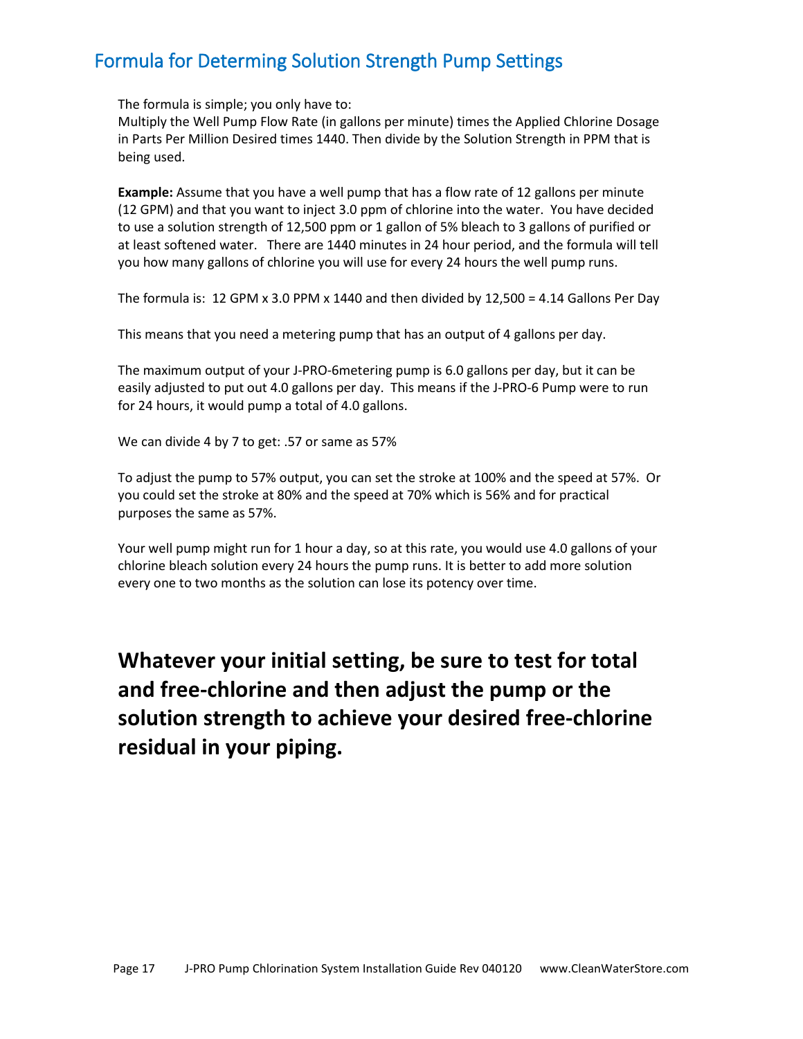### <span id="page-16-0"></span>Formula for Determing Solution Strength Pump Settings

The formula is simple; you only have to:

Multiply the Well Pump Flow Rate (in gallons per minute) times the Applied Chlorine Dosage in Parts Per Million Desired times 1440. Then divide by the Solution Strength in PPM that is being used.

**Example:** Assume that you have a well pump that has a flow rate of 12 gallons per minute (12 GPM) and that you want to inject 3.0 ppm of chlorine into the water. You have decided to use a solution strength of 12,500 ppm or 1 gallon of 5% bleach to 3 gallons of purified or at least softened water. There are 1440 minutes in 24 hour period, and the formula will tell you how many gallons of chlorine you will use for every 24 hours the well pump runs.

The formula is: 12 GPM x 3.0 PPM x 1440 and then divided by 12,500 = 4.14 Gallons Per Day

This means that you need a metering pump that has an output of 4 gallons per day.

The maximum output of your J-PRO-6metering pump is 6.0 gallons per day, but it can be easily adjusted to put out 4.0 gallons per day. This means if the J-PRO-6 Pump were to run for 24 hours, it would pump a total of 4.0 gallons.

We can divide 4 by 7 to get: .57 or same as 57%

To adjust the pump to 57% output, you can set the stroke at 100% and the speed at 57%. Or you could set the stroke at 80% and the speed at 70% which is 56% and for practical purposes the same as 57%.

Your well pump might run for 1 hour a day, so at this rate, you would use 4.0 gallons of your chlorine bleach solution every 24 hours the pump runs. It is better to add more solution every one to two months as the solution can lose its potency over time.

# **Whatever your initial setting, be sure to test for total and free-chlorine and then adjust the pump or the solution strength to achieve your desired free-chlorine residual in your piping.**